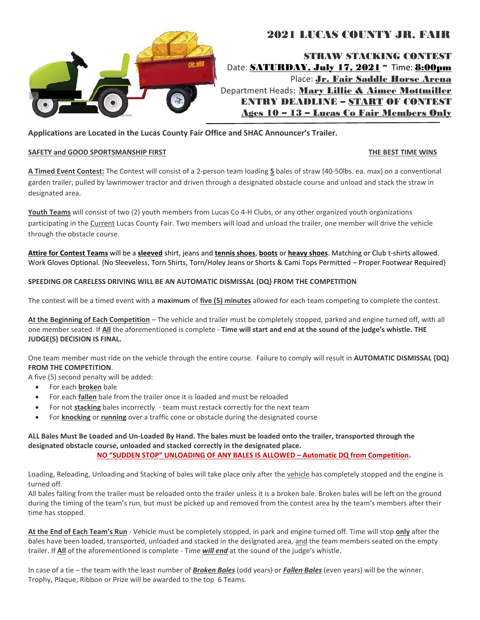

# 2021 LUCAS COUNTY JR. FAIR

STRAW STACKING CONTEST Date: SATURDAY, July 17, 2021 **~** Time: 8:00pm Place: Jr. Fair Saddle Horse Arena Department Heads: Mary Lillie & Aimee Mottmiller ENTRY DEADLINE – START OF CONTEST Ages 10 – 13 – Lucas Co Fair Members Only

### **Applications are Located in the Lucas County Fair Office and SHAC Announcer's Trailer.**

#### SAFETY and GOOD SPORTSMANSHIP FIRST **THE BEST TIME WINS**

**A Timed Event Contest:** The Contest will consist of a 2-person team loading **5** bales of straw (40-50lbs. ea. max) on a conventional garden trailer, pulled by lawnmower tractor and driven through a designated obstacle course and unload and stack the straw in designated area.

**Youth Teams** will consist of two (2) youth members from Lucas Co 4-H Clubs, or any other organized youth organizations participating in the Current Lucas County Fair. Two members will load and unload the trailer, one member will drive the vehicle through the obstacle course.

**Attire for Contest Teams** will be a **sleeved** shirt, jeans and **tennis shoes**, **boots** or **heavy shoes**. Matching or Club t-shirts allowed. Work Gloves Optional. {No Sleeveless, Torn Shirts, Torn/Holey Jeans or Shorts & Cami Tops Permitted – Proper Footwear Required}

#### **SPEEDING OR CARELESS DRIVING WILL BE AN AUTOMATIC DISMISSAL {DQ} FROM THE COMPETITION**

The contest will be a timed event with a **maximum** of **five (5) minutes** allowed for each team competing to complete the contest.

**At the Beginning of Each Competition** – The vehicle and trailer must be completely stopped, parked and engine turned off, with all one member seated. If **All** the aforementioned is complete - **Time will start and end at the sound of the judge's whistle. THE JUDGE(S) DECISION IS FINAL.**

One team member must ride on the vehicle through the entire course. Failure to comply will result in **AUTOMATIC DISMISSAL {DQ} FROM THE COMPETITION**.

A five (5) second penalty will be added:

- For each **broken** bale
- For each **fallen** bale from the trailer once it is loaded and must be reloaded
- For not **stacking** bales incorrectly team must restack correctly for the next team
- For **knocking** or **running** over a traffic cone or obstacle during the designated course

**ALL Bales Must Be Loaded and Un-Loaded By Hand. The bales must be loaded onto the trailer, transported through the designated obstacle course, unloaded and stacked correctly in the designated place. NO "SUDDEN STOP" UNLOADING OF ANY BALES IS ALLOWED – Automatic DQ from Competition.**

Loading, Reloading, Unloading and Stacking of bales will take place only after the vehicle has completely stopped and the engine is turned off.

All bales falling from the trailer must be reloaded onto the trailer unless it is a broken bale. Broken bales will be left on the ground during the timing of the team's run, but must be picked up and removed from the contest area by the team's members after their time has stopped.

**At the End of Each Team's Run** - Vehicle must be completely stopped, in park and engine turned off. Time will stop **only** after the bales have been loaded, transported, unloaded and stacked in the designated area, and the team members seated on the empty trailer. If **All** of the aforementioned is complete - Time *will end* at the sound of the judge's whistle.

In case of a tie – the team with the least number of *Broken Bales* (odd years) or *Fallen Bales* (even years) will be the winner. Trophy, Plaque, Ribbon or Prize will be awarded to the top 6 Teams.